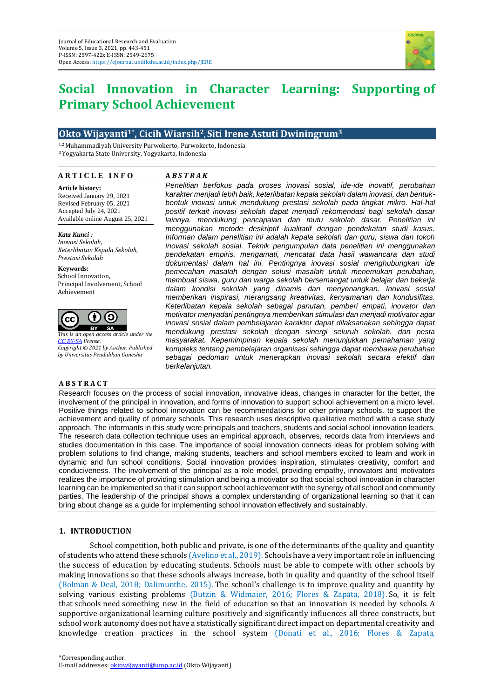

# **Social Innovation in Character Learning: Supporting of Primary School Achievement**

# **Okto Wijayanti1\* , Cicih Wiarsih2, Siti Irene Astuti Dwiningrum<sup>3</sup>**

1,2 Muhammadiyah University Purwokerto, Purwokerto, Indonesia <sup>3</sup>Yogyakarta State University, Yogyakarta, Indonesia

#### **A R T I C L E I N F O**

## **A** *B S T R A K*

**Article history:** Received January 29, 2021 Revised February 05, 2021 Accepted July 24, 2021 Available online August 25, 2021

*Kata Kunci : Inovasi Sekolah, Keterlibatan Kepala Sekolah, Prestasi Sekolah*

**Keywords:** School Innovation, Principal Involvement, School Achievement



*This is an open access article under the [CC BY-SA](https://creativecommons.org/licenses/by-sa/4.0/) license. Copyright © 2021 by Author. Published by Universitas Pendidikan Ganesha*

#### **A B S T R A C T**

*Penelitian berfokus pada proses inovasi sosial, ide-ide inovatif, perubahan karakter menjadi lebih baik, keterlibatan kepala sekolah dalam inovasi, dan bentukbentuk inovasi untuk mendukung prestasi sekolah pada tingkat mikro. Hal-hal positif terkait inovasi sekolah dapat menjadi rekomendasi bagi sekolah dasar lainnya. mendukung pencapaian dan mutu sekolah dasar. Penelitian ini menggunakan metode deskriptif kualitatif dengan pendekatan studi kasus. Informan dalam penelitian ini adalah kepala sekolah dan guru, siswa dan tokoh inovasi sekolah sosial. Teknik pengumpulan data penelitian ini menggunakan pendekatan empiris, mengamati, mencatat data hasil wawancara dan studi dokumentasi dalam hal ini. Pentingnya inovasi sosial menghubungkan ide pemecahan masalah dengan solusi masalah untuk menemukan perubahan, membuat siswa, guru dan warga sekolah bersemangat untuk belajar dan bekerja dalam kondisi sekolah yang dinamis dan menyenangkan. Inovasi sosial memberikan inspirasi, merangsang kreativitas, kenyamanan dan kondusifitas. Keterlibatan kepala sekolah sebagai panutan, pemberi empati, inovator dan motivator menyadari pentingnya memberikan stimulasi dan menjadi motivator agar inovasi sosial dalam pembelajaran karakter dapat dilaksanakan sehingga dapat mendukung prestasi sekolah dengan sinergi seluruh sekolah. dan pesta masyarakat. Kepemimpinan kepala sekolah menunjukkan pemahaman yang kompleks tentang pembelajaran organisasi sehingga dapat membawa perubahan sebagai pedoman untuk menerapkan inovasi sekolah secara efektif dan berkelanjutan.*

Research focuses on the process of social innovation, innovative ideas, changes in character for the better, the involvement of the principal in innovation, and forms of innovation to support school achievement on a micro level. Positive things related to school innovation can be recommendations for other primary schools. to support the achievement and quality of primary schools. This research uses descriptive qualitative method with a case study approach. The informants in this study were principals and teachers, students and social school innovation leaders. The research data collection technique uses an empirical approach, observes, records data from interviews and studies documentation in this case. The importance of social innovation connects ideas for problem solving with problem solutions to find change, making students, teachers and school members excited to learn and work in dynamic and fun school conditions. Social innovation provides inspiration, stimulates creativity, comfort and conduciveness. The involvement of the principal as a role model, providing empathy, innovators and motivators realizes the importance of providing stimulation and being a motivator so that social school innovation in character learning can be implemented so that it can support school achievement with the synergy of all school and community parties. The leadership of the principal shows a complex understanding of organizational learning so that it can bring about change as a guide for implementing school innovation effectively and sustainably.

## **1. INTRODUCTION**

School competition, both public and private, is one of the determinants of the quality and quantity of students who attend these schools (Avelino et al., 2019). Schools have a very important role in influencing the success of education by educating students. Schools must be able to compete with other schools by making innovations so that these schools always increase, both in quality and quantity of the school itself (Bolman & Deal, 2018; Dalimunthe, 2015). The school's challenge is to improve quality and quantity by solving various existing problems (Butzin & Widmaier, 2016; Flores & Zapata, 2018). So, it is felt that schools need something new in the field of education so that an innovation is needed by schools. A supportive organizational learning culture positively and significantly influences all three constructs, but school work autonomy does not have a statistically significant direct impact on departmental creativity and knowledge creation practices in the school system (Donati et al., 2016; Flores & Zapata,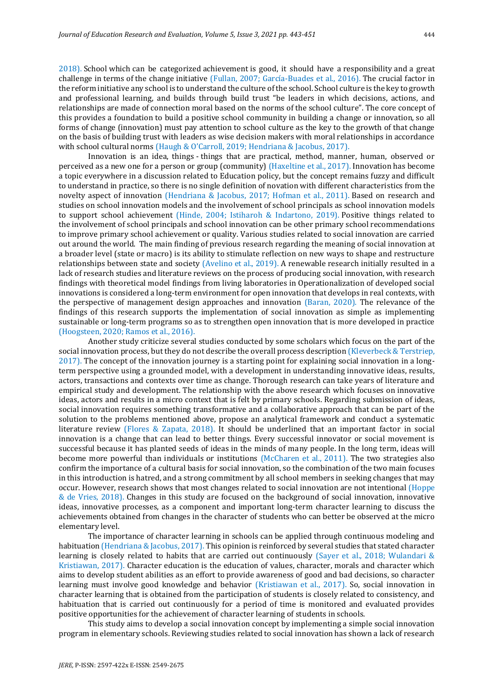2018). School which can be categorized achievement is good, it should have a responsibility and a great challenge in terms of the change initiative (Fullan, 2007; García-Buades et al., 2016). The crucial factor in the reform initiative any school is to understand the culture of the school. School culture is the key to growth and professional learning, and builds through build trust "be leaders in which decisions, actions, and relationships are made of connection moral based on the norms of the school culture". The core concept of this provides a foundation to build a positive school community in building a change or innovation, so all forms of change (innovation) must pay attention to school culture as the key to the growth of that change on the basis of building trust with leaders as wise decision makers with moral relationships in accordance with school cultural norms (Haugh & O'Carroll, 2019; Hendriana & Jacobus, 2017).

Innovation is an idea, things - things that are practical, method, manner, human, observed or perceived as a new one for a person or group (community) (Haxeltine et al., 2017). Innovation has become a topic everywhere in a discussion related to Education policy, but the concept remains fuzzy and difficult to understand in practice, so there is no single definition of novation with different characteristics from the novelty aspect of innovation (Hendriana & Jacobus, 2017; Hofman et al., 2011). Based on research and studies on school innovation models and the involvement of school principals as school innovation models to support school achievement (Hinde, 2004; Istiharoh & Indartono, 2019). Positive things related to the involvement of school principals and school innovation can be other primary school recommendations to improve primary school achievement or quality. Various studies related to social innovation are carried out around the world. The main finding of previous research regarding the meaning of social innovation at a broader level (state or macro) is its ability to stimulate reflection on new ways to shape and restructure relationships between state and society (Avelino et al., 2019). A renewable research initially resulted in a lack of research studies and literature reviews on the process of producing social innovation, with research findings with theoretical model findings from living laboratories in Operationalization of developed social innovations is considered a long-term environment for open innovation that develops in real contexts, with the perspective of management design approaches and innovation (Baran, 2020). The relevance of the findings of this research supports the implementation of social innovation as simple as implementing sustainable or long-term programs so as to strengthen open innovation that is more developed in practice (Hoogsteen, 2020; Ramos et al., 2016).

Another study criticize several studies conducted by some scholars which focus on the part of the social innovation process, but they do not describe the overall process description (Kleverbeck & Terstriep, 2017). The concept of the innovation journey is a starting point for explaining social innovation in a longterm perspective using a grounded model, with a development in understanding innovative ideas, results, actors, transactions and contexts over time as change. Thorough research can take years of literature and empirical study and development. The relationship with the above research which focuses on innovative ideas, actors and results in a micro context that is felt by primary schools. Regarding submission of ideas, social innovation requires something transformative and a collaborative approach that can be part of the solution to the problems mentioned above, propose an analytical framework and conduct a systematic literature review (Flores & Zapata, 2018). It should be underlined that an important factor in social innovation is a change that can lead to better things. Every successful innovator or social movement is successful because it has planted seeds of ideas in the minds of many people. In the long term, ideas will become more powerful than individuals or institutions (McCharen et al., 2011). The two strategies also confirm the importance of a cultural basis for social innovation, so the combination of the two main focuses in this introduction is hatred, and a strong commitment by all school members in seeking changes that may occur. However, research shows that most changes related to social innovation are not intentional (Hoppe & de Vries, 2018). Changes in this study are focused on the background of social innovation, innovative ideas, innovative processes, as a component and important long-term character learning to discuss the achievements obtained from changes in the character of students who can better be observed at the micro elementary level.

The importance of character learning in schools can be applied through continuous modeling and habituation (Hendriana & Jacobus, 2017). This opinion is reinforced by several studies that stated character learning is closely related to habits that are carried out continuously (Sayer et al., 2018; Wulandari & Kristiawan, 2017). Character education is the education of values, character, morals and character which aims to develop student abilities as an effort to provide awareness of good and bad decisions, so character learning must involve good knowledge and behavior (Kristiawan et al., 2017). So, social innovation in character learning that is obtained from the participation of students is closely related to consistency, and habituation that is carried out continuously for a period of time is monitored and evaluated provides positive opportunities for the achievement of character learning of students in schools.

This study aims to develop a social innovation concept by implementing a simple social innovation program in elementary schools. Reviewing studies related to social innovation has shown a lack of research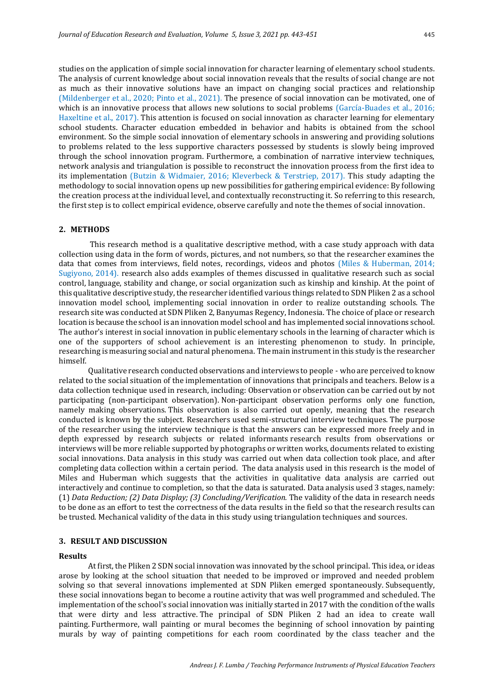studies on the application of simple social innovation for character learning of elementary school students. The analysis of current knowledge about social innovation reveals that the results of social change are not as much as their innovative solutions have an impact on changing social practices and relationship (Mildenberger et al., 2020; Pinto et al., 2021). The presence of social innovation can be motivated, one of which is an innovative process that allows new solutions to social problems (García-Buades et al., 2016; Haxeltine et al., 2017). This attention is focused on social innovation as character learning for elementary school students. Character education embedded in behavior and habits is obtained from the school environment. So the simple social innovation of elementary schools in answering and providing solutions to problems related to the less supportive characters possessed by students is slowly being improved through the school innovation program. Furthermore, a combination of narrative interview techniques, network analysis and triangulation is possible to reconstruct the innovation process from the first idea to its implementation (Butzin & Widmaier, 2016; Kleverbeck & Terstriep, 2017). This study adapting the methodology to social innovation opens up new possibilities for gathering empirical evidence: By following the creation process at the individual level, and contextually reconstructing it. So referring to this research, the first step is to collect empirical evidence, observe carefully and note the themes of social innovation.

## **2. METHODS**

This research method is a qualitative descriptive method, with a case study approach with data collection using data in the form of words, pictures, and not numbers, so that the researcher examines the data that comes from interviews, field notes, recordings, videos and photos (Miles & Huberman, 2014; Sugiyono, 2014). research also adds examples of themes discussed in qualitative research such as social control, language, stability and change, or social organization such as kinship and kinship. At the point of this qualitative descriptive study, the researcher identified various things related to SDN Pliken 2 as a school innovation model school, implementing social innovation in order to realize outstanding schools. The research site was conducted at SDN Pliken 2, Banyumas Regency, Indonesia. The choice of place or research location is because the school is an innovation model school and has implemented social innovations school. The author's interest in social innovation in public elementary schools in the learning of character which is one of the supporters of school achievement is an interesting phenomenon to study. In principle, researching is measuring social and natural phenomena. The main instrument in this study is the researcher himself.

Qualitative research conducted observations and interviews to people - who are perceived to know related to the social situation of the implementation of innovations that principals and teachers. Below is a data collection technique used in research, including: Observation or observation can be carried out by not participating (non-participant observation). Non-participant observation performs only one function, namely making observations. This observation is also carried out openly, meaning that the research conducted is known by the subject. Researchers used semi-structured interview techniques. The purpose of the researcher using the interview technique is that the answers can be expressed more freely and in depth expressed by research subjects or related informants research results from observations or interviews will be more reliable supported by photographs or written works, documents related to existing social innovations. Data analysis in this study was carried out when data collection took place, and after completing data collection within a certain period. The data analysis used in this research is the model of Miles and Huberman which suggests that the activities in qualitative data analysis are carried out interactively and continue to completion, so that the data is saturated. Data analysis used 3 stages, namely: (1) *Data Reduction; (2) Data Display; (3) Concluding/Verification.* The validity of the data in research needs to be done as an effort to test the correctness of the data results in the field so that the research results can be trusted. Mechanical validity of the data in this study using triangulation techniques and sources.

## **3. RESULT AND DISCUSSION**

#### **Results**

At first, the Pliken 2 SDN social innovation was innovated by the school principal. This idea, or ideas arose by looking at the school situation that needed to be improved or improved and needed problem solving so that several innovations implemented at SDN Pliken emerged spontaneously. Subsequently, these social innovations began to become a routine activity that was well programmed and scheduled. The implementation of the school's social innovation was initially started in 2017 with the condition of the walls that were dirty and less attractive. The principal of SDN Pliken 2 had an idea to create wall painting. Furthermore, wall painting or mural becomes the beginning of school innovation by painting murals by way of painting competitions for each room coordinated by the class teacher and the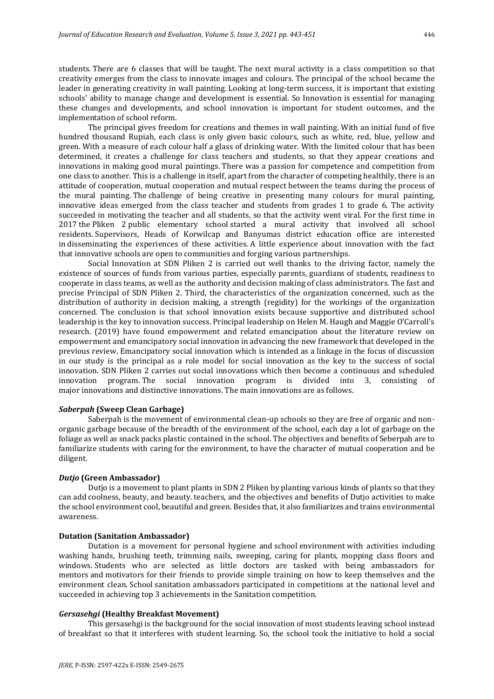students. There are 6 classes that will be taught. The next mural activity is a class competition so that creativity emerges from the class to innovate images and colours. The principal of the school became the leader in generating creativity in wall painting. Looking at long-term success, it is important that existing schools' ability to manage change and development is essential. So Innovation is essential for managing these changes and developments, and school innovation is important for student outcomes, and the implementation of school reform.

The principal gives freedom for creations and themes in wall painting. With an initial fund of five hundred thousand Rupiah, each class is only given basic colours, such as white, red, blue, yellow and green. With a measure of each colour half a glass of drinking water. With the limited colour that has been determined, it creates a challenge for class teachers and students, so that they appear creations and innovations in making good mural paintings. There was a passion for competence and competition from one class to another. This is a challenge in itself, apart from the character of competing healthily, there is an attitude of cooperation, mutual cooperation and mutual respect between the teams during the process of the mural painting. The challenge of being creative in presenting many colours for mural painting, innovative ideas emerged from the class teacher and students from grades 1 to grade 6. The activity succeeded in motivating the teacher and all students, so that the activity went viral. For the first time in 2017 the Pliken 2 public elementary school started a mural activity that involved all school residents. Supervisors, Heads of Korwilcap and Banyumas district education office are interested in disseminating the experiences of these activities. A little experience about innovation with the fact that innovative schools are open to communities and forging various partnerships.

Social Innovation at SDN Pliken 2 is carried out well thanks to the driving factor, namely the existence of sources of funds from various parties, especially parents, guardians of students, readiness to cooperate in class teams, as well as the authority and decision making of class administrators. The fast and precise Principal of SDN Pliken 2. Third, the characteristics of the organization concerned, such as the distribution of authority in decision making, a strength (regidity) for the workings of the organization concerned. The conclusion is that school innovation exists because supportive and distributed school leadership is the key to innovation success. Principal leadership on Helen M. Haugh and Maggie O'Carroll's research. (2019) have found empowerment and related emancipation about the literature review on empowerment and emancipatory social innovation in advancing the new framework that developed in the previous review. Emancipatory social innovation which is intended as a linkage in the focus of discussion in our study is the principal as a role model for social innovation as the key to the success of social innovation. SDN Pliken 2 carries out social innovations which then become a continuous and scheduled innovation program. The social innovation program is divided into 3, consisting of major innovations and distinctive innovations. The main innovations are as follows.

#### *Saberpah* **(Sweep Clean Garbage)**

Saberpah is the movement of environmental clean-up schools so they are free of organic and nonorganic garbage because of the breadth of the environment of the school, each day a lot of garbage on the foliage as well as snack packs plastic contained in the school. The objectives and benefits of Seberpah are to familiarize students with caring for the environment, to have the character of mutual cooperation and be diligent.

# *Dutjo* **(Green Ambassador)**

Dutjo is a movement to plant plants in SDN 2 Pliken by planting various kinds of plants so that they can add coolness, beauty, and beauty. teachers, and the objectives and benefits of Dutjo activities to make the school environment cool, beautiful and green. Besides that, it also familiarizes and trains environmental awareness.

# **Dutation (Sanitation Ambassador)**

Dutation is a movement for personal hygiene and school environment with activities including washing hands, brushing teeth, trimming nails, sweeping, caring for plants, mopping class floors and windows. Students who are selected as little doctors are tasked with being ambassadors for mentors and motivators for their friends to provide simple training on how to keep themselves and the environment clean. School sanitation ambassadors participated in competitions at the national level and succeeded in achieving top 3 achievements in the Sanitation competition.

#### *Gersasehgi* **(Healthy Breakfast Movement)**

This gersasehgi is the background for the social innovation of most students leaving school instead of breakfast so that it interferes with student learning. So, the school took the initiative to hold a social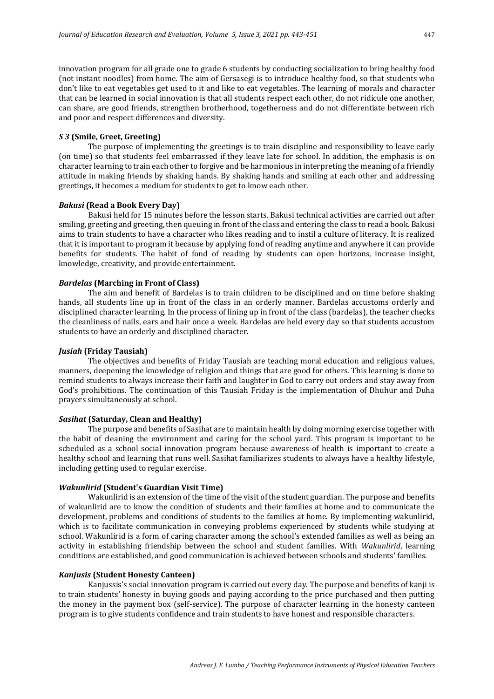innovation program for all grade one to grade 6 students by conducting socialization to bring healthy food (not instant noodles) from home. The aim of Gersasegi is to introduce healthy food, so that students who don't like to eat vegetables get used to it and like to eat vegetables. The learning of morals and character that can be learned in social innovation is that all students respect each other, do not ridicule one another, can share, are good friends, strengthen brotherhood, togetherness and do not differentiate between rich and poor and respect differences and diversity.

#### *S 3* **(Smile, Greet, Greeting)**

The purpose of implementing the greetings is to train discipline and responsibility to leave early (on time) so that students feel embarrassed if they leave late for school. In addition, the emphasis is on character learning to train each other to forgive and be harmonious in interpreting the meaning of a friendly attitude in making friends by shaking hands. By shaking hands and smiling at each other and addressing greetings, it becomes a medium for students to get to know each other.

## *Bakusi* **(Read a Book Every Day)**

Bakusi held for 15 minutes before the lesson starts. Bakusi technical activities are carried out after smiling, greeting and greeting, then queuing in front of the class and entering the class to read a book. Bakusi aims to train students to have a character who likes reading and to instil a culture of literacy. It is realized that it is important to program it because by applying fond of reading anytime and anywhere it can provide benefits for students. The habit of fond of reading by students can open horizons, increase insight, knowledge, creativity, and provide entertainment.

#### *Bardelas* **(Marching in Front of Class)**

The aim and benefit of Bardelas is to train children to be disciplined and on time before shaking hands, all students line up in front of the class in an orderly manner. Bardelas accustoms orderly and disciplined character learning. In the process of lining up in front of the class (bardelas), the teacher checks the cleanliness of nails, ears and hair once a week. Bardelas are held every day so that students accustom students to have an orderly and disciplined character.

#### *Jusiah* **(Friday Tausiah)**

The objectives and benefits of Friday Tausiah are teaching moral education and religious values, manners, deepening the knowledge of religion and things that are good for others. This learning is done to remind students to always increase their faith and laughter in God to carry out orders and stay away from God's prohibitions. The continuation of this Tausiah Friday is the implementation of Dhuhur and Duha prayers simultaneously at school.

#### *Sasihat* **(Saturday, Clean and Healthy)**

The purpose and benefits of Sasihat are to maintain health by doing morning exercise together with the habit of cleaning the environment and caring for the school yard. This program is important to be scheduled as a school social innovation program because awareness of health is important to create a healthy school and learning that runs well. Sasihat familiarizes students to always have a healthy lifestyle, including getting used to regular exercise.

# *Wakunlirid* **(Student's Guardian Visit Time)**

Wakunlirid is an extension of the time of the visit of the student guardian. The purpose and benefits of wakunlirid are to know the condition of students and their families at home and to communicate the development, problems and conditions of students to the families at home. By implementing wakunlirid, which is to facilitate communication in conveying problems experienced by students while studying at school. Wakunlirid is a form of caring character among the school's extended families as well as being an activity in establishing friendship between the school and student families. With *Wakunlirid*, learning conditions are established, and good communication is achieved between schools and students' families.

#### *Kanjusis* **(Student Honesty Canteen)**

Kanjussis's social innovation program is carried out every day. The purpose and benefits of kanji is to train students' honesty in buying goods and paying according to the price purchased and then putting the money in the payment box (self-service). The purpose of character learning in the honesty canteen program is to give students confidence and train students to have honest and responsible characters.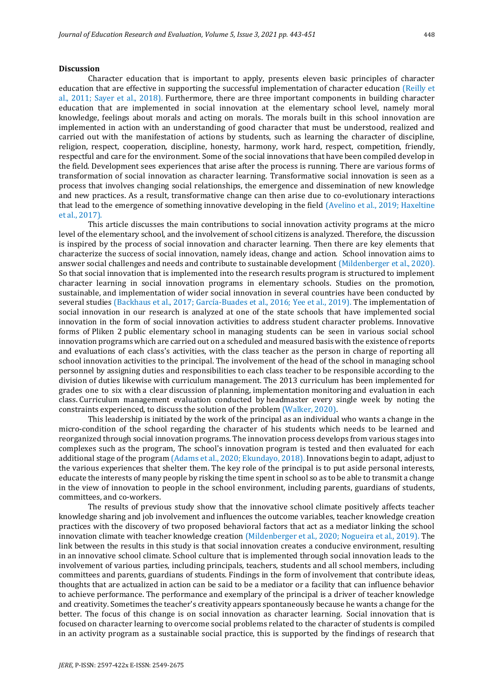#### **Discussion**

Character education that is important to apply, presents eleven basic principles of character education that are effective in supporting the successful implementation of character education (Reilly et al., 2011; Sayer et al., 2018). Furthermore, there are three important components in building character education that are implemented in social innovation at the elementary school level, namely moral knowledge, feelings about morals and acting on morals. The morals built in this school innovation are implemented in action with an understanding of good character that must be understood, realized and carried out with the manifestation of actions by students, such as learning the character of discipline, religion, respect, cooperation, discipline, honesty, harmony, work hard, respect, competition, friendly, respectful and care for the environment. Some of the social innovations that have been compiled develop in the field. Development sees experiences that arise after the process is running. There are various forms of transformation of social innovation as character learning. Transformative social innovation is seen as a process that involves changing social relationships, the emergence and dissemination of new knowledge and new practices. As a result, transformative change can then arise due to co-evolutionary interactions that lead to the emergence of something innovative developing in the field (Avelino et al., 2019; Haxeltine et al., 2017).

This article discusses the main contributions to social innovation activity programs at the micro level of the elementary school, and the involvement of school citizens is analyzed. Therefore, the discussion is inspired by the process of social innovation and character learning. Then there are key elements that characterize the success of social innovation, namely ideas, change and action. School innovation aims to answer social challenges and needs and contribute to sustainable development (Mildenberger et al., 2020). So that social innovation that is implemented into the research results program is structured to implement character learning in social innovation programs in elementary schools. Studies on the promotion, sustainable, and implementation of wider social innovation in several countries have been conducted by several studies (Backhaus et al., 2017; García-Buades et al., 2016; Yee et al., 2019). The implementation of social innovation in our research is analyzed at one of the state schools that have implemented social innovation in the form of social innovation activities to address student character problems. Innovative forms of Pliken 2 public elementary school in managing students can be seen in various social school innovation programs which are carried out on a scheduled and measured basis with the existence of reports and evaluations of each class's activities, with the class teacher as the person in charge of reporting all school innovation activities to the principal. The involvement of the head of the school in managing school personnel by assigning duties and responsibilities to each class teacher to be responsible according to the division of duties likewise with curriculum management. The 2013 curriculum has been implemented for grades one to six with a clear discussion of planning, implementation monitoring and evaluation in each class. Curriculum management evaluation conducted by headmaster every single week by noting the constraints experienced, to discuss the solution of the problem (Walker, 2020).

This leadership is initiated by the work of the principal as an individual who wants a change in the micro-condition of the school regarding the character of his students which needs to be learned and reorganized through social innovation programs. The innovation process develops from various stages into complexes such as the program, The school's innovation program is tested and then evaluated for each additional stage of the program (Adams et al., 2020; Ekundayo, 2018). Innovations begin to adapt, adjust to the various experiences that shelter them. The key role of the principal is to put aside personal interests, educate the interests of many people by risking the time spent in school so as to be able to transmit a change in the view of innovation to people in the school environment, including parents, guardians of students, committees, and co-workers.

The results of previous study show that the innovative school climate positively affects teacher knowledge sharing and job involvement and influences the outcome variables, teacher knowledge creation practices with the discovery of two proposed behavioral factors that act as a mediator linking the school innovation climate with teacher knowledge creation (Mildenberger et al., 2020; Nogueira et al., 2019). The link between the results in this study is that social innovation creates a conducive environment, resulting in an innovative school climate. School culture that is implemented through social innovation leads to the involvement of various parties, including principals, teachers, students and all school members, including committees and parents, guardians of students. Findings in the form of involvement that contribute ideas, thoughts that are actualized in action can be said to be a mediator or a facility that can influence behavior to achieve performance. The performance and exemplary of the principal is a driver of teacher knowledge and creativity. Sometimes the teacher's creativity appears spontaneously because he wants a change for the better. The focus of this change is on social innovation as character learning. Social innovation that is focused on character learning to overcome social problems related to the character of students is compiled in an activity program as a sustainable social practice, this is supported by the findings of research that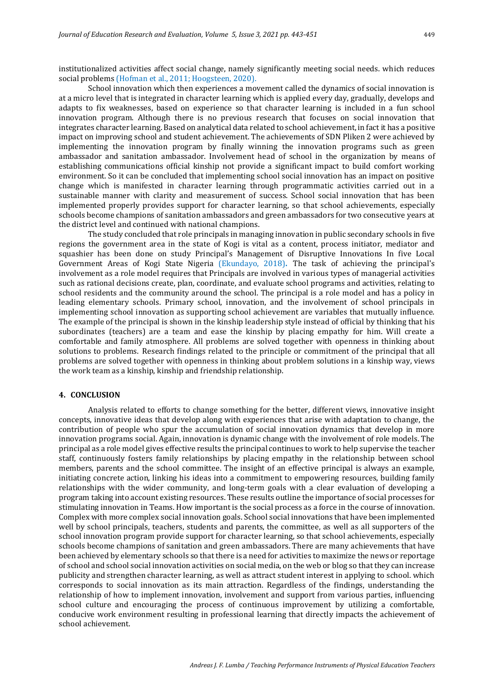institutionalized activities affect social change, namely significantly meeting social needs. which reduces social problems (Hofman et al., 2011; Hoogsteen, 2020).

School innovation which then experiences a movement called the dynamics of social innovation is at a micro level that is integrated in character learning which is applied every day, gradually, develops and adapts to fix weaknesses, based on experience so that character learning is included in a fun school innovation program. Although there is no previous research that focuses on social innovation that integrates character learning. Based on analytical data related to school achievement, in fact it has a positive impact on improving school and student achievement. The achievements of SDN Pliken 2 were achieved by implementing the innovation program by finally winning the innovation programs such as green ambassador and sanitation ambassador. Involvement head of school in the organization by means of establishing communications official kinship not provide a significant impact to build comfort working environment. So it can be concluded that implementing school social innovation has an impact on positive change which is manifested in character learning through programmatic activities carried out in a sustainable manner with clarity and measurement of success. School social innovation that has been implemented properly provides support for character learning, so that school achievements, especially schools become champions of sanitation ambassadors and green ambassadors for two consecutive years at the district level and continued with national champions.

The study concluded that role principals in managing innovation in public secondary schools in five regions the government area in the state of Kogi is vital as a content, process initiator, mediator and squashier has been done on study Principal's Management of Disruptive Innovations In five Local Government Areas of Kogi State Nigeria (Ekundayo, 2018)**.** The task of achieving the principal's involvement as a role model requires that Principals are involved in various types of managerial activities such as rational decisions create, plan, coordinate, and evaluate school programs and activities, relating to school residents and the community around the school. The principal is a role model and has a policy in leading elementary schools. Primary school, innovation, and the involvement of school principals in implementing school innovation as supporting school achievement are variables that mutually influence. The example of the principal is shown in the kinship leadership style instead of official by thinking that his subordinates (teachers) are a team and ease the kinship by placing empathy for him. Will create a comfortable and family atmosphere. All problems are solved together with openness in thinking about solutions to problems. Research findings related to the principle or commitment of the principal that all problems are solved together with openness in thinking about problem solutions in a kinship way, views the work team as a kinship, kinship and friendship relationship.

# **4. CONCLUSION**

Analysis related to efforts to change something for the better, different views, innovative insight concepts, innovative ideas that develop along with experiences that arise with adaptation to change, the contribution of people who spur the accumulation of social innovation dynamics that develop in more innovation programs social. Again, innovation is dynamic change with the involvement of role models. The principal as a role model gives effective results the principal continues to work to help supervise the teacher staff, continuously fosters family relationships by placing empathy in the relationship between school members, parents and the school committee. The insight of an effective principal is always an example, initiating concrete action, linking his ideas into a commitment to empowering resources, building family relationships with the wider community, and long-term goals with a clear evaluation of developing a program taking into account existing resources. These results outline the importance of social processes for stimulating innovation in Teams. How important is the social process as a force in the course of innovation. Complex with more complex social innovation goals. School social innovations that have been implemented well by school principals, teachers, students and parents, the committee, as well as all supporters of the school innovation program provide support for character learning, so that school achievements, especially schools become champions of sanitation and green ambassadors. There are many achievements that have been achieved by elementary schools so that there is a need for activities to maximize the news or reportage of school and school social innovation activities on social media, on the web or blog so that they can increase publicity and strengthen character learning, as well as attract student interest in applying to school. which corresponds to social innovation as its main attraction. Regardless of the findings, understanding the relationship of how to implement innovation, involvement and support from various parties, influencing school culture and encouraging the process of continuous improvement by utilizing a comfortable, conducive work environment resulting in professional learning that directly impacts the achievement of school achievement.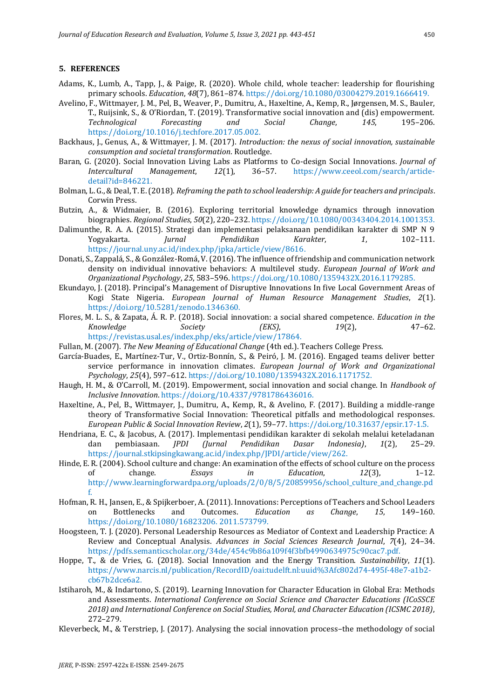#### **5. REFERENCES**

- Adams, K., Lumb, A., Tapp, J., & Paige, R. (2020). Whole child, whole teacher: leadership for flourishing primary schools. *Education*, *48*(7), 861–874. https://doi.org/10.1080/03004279.2019.1666419.
- Avelino, F., Wittmayer, J. M., Pel, B., Weaver, P., Dumitru, A., Haxeltine, A., Kemp, R., Jørgensen, M. S., Bauler, T., Ruijsink, S., & O'Riordan, T. (2019). Transformative social innovation and (dis) empowerment. *Technological Forecasting and Social Change*, *145*, 195–206. https://doi.org/10.1016/j.techfore.2017.05.002.
- Backhaus, J., Genus, A., & Wittmayer, J. M. (2017). *Introduction: the nexus of social innovation, sustainable consumption and societal transformation*. Routledge.
- Baran, G. (2020). Social Innovation Living Labs as Platforms to Co-design Social Innovations. *Journal of Intercultural Management*, *12*(1), 36–57. https://www.ceeol.com/search/articledetail?id=846221.
- Bolman, L. G., & Deal, T. E. (2018). *Reframing the path to school leadership: A guide for teachers and principals*. Corwin Press.
- Butzin, A., & Widmaier, B. (2016). Exploring territorial knowledge dynamics through innovation biographies. *Regional Studies*, *50*(2), 220–232. https://doi.org/10.1080/00343404.2014.1001353.
- Dalimunthe, R. A. A. (2015). Strategi dan implementasi pelaksanaan pendidikan karakter di SMP N 9 Yogyakarta. *Jurnal Pendidikan Karakter*, *1*, 102–111. https://journal.uny.ac.id/index.php/jpka/article/view/8616.
- Donati, S., Zappalá, S., & González-Romá, V. (2016). The influence of friendship and communication network density on individual innovative behaviors: A multilevel study. *European Journal of Work and Organizational Psychology*, *25*, 583–596. https://doi.org/10.1080/1359432X.2016.1179285.
- Ekundayo, J. (2018). Principal's Management of Disruptive Innovations In five Local Government Areas of Kogi State Nigeria. *European Journal of Human Resource Management Studies*, *2*(1). https://doi.org/10.5281/zenodo.1346360.
- Flores, M. L. S., & Zapata, Á. R. P. (2018). Social innovation: a social shared competence. *Education in the Knowledge Society (EKS)*, *19*(2), 47–62. https://revistas.usal.es/index.php/eks/article/view/17864.
- Fullan, M. (2007). *The New Meaning of Educational Change* (4th ed.). Teachers College Press.
- García-Buades, E., Martínez-Tur, V., Ortiz-Bonnín, S., & Peiró, J. M. (2016). Engaged teams deliver better service performance in innovation climates. *European Journal of Work and Organizational Psychology*, *25*(4), 597–612. https://doi.org/10.1080/1359432X.2016.1171752.
- Haugh, H. M., & O'Carroll, M. (2019). Empowerment, social innovation and social change. In *Handbook of Inclusive Innovation*. https://doi.org/10.4337/9781786436016.
- Haxeltine, A., Pel, B., Wittmayer, J., Dumitru, A., Kemp, R., & Avelino, F. (2017). Building a middle-range theory of Transformative Social Innovation: Theoretical pitfalls and methodological responses. *European Public & Social Innovation Review*, *2*(1), 59–77. https://doi.org/10.31637/epsir.17-1.5.
- Hendriana, E. C., & Jacobus, A. (2017). Implementasi pendidikan karakter di sekolah melalui keteladanan dan pembiasaan. *JPDI (Jurnal Pendidikan Dasar Indonesia)*, *1*(2), 25–29. https://journal.stkipsingkawang.ac.id/index.php/JPDI/article/view/262.
- Hinde, E. R. (2004). School culture and change: An examination of the effects of school culture on the process of change. *Essays in Education*, *12*(3), 1–12. http://www.learningforwardpa.org/uploads/2/0/8/5/20859956/school\_culture\_and\_change.pd f.
- Hofman, R. H., Jansen, E., & Spijkerboer, A. (2011). Innovations: Perceptions of Teachers and School Leaders on Bottlenecks and Outcomes. *Education as Change*, *15*, 149–160. https://doi.org/10.1080/16823206. 2011.573799.
- Hoogsteen, T. J. (2020). Personal Leadership Resources as Mediator of Context and Leadership Practice: A Review and Conceptual Analysis. *Advances in Social Sciences Research Journal*, *7*(4), 24–34. https://pdfs.semanticscholar.org/34de/454c9b86a109f4f3bfb4990634975c90cac7.pdf.
- Hoppe, T., & de Vries, G. (2018). Social Innovation and the Energy Transition. *Sustainability*, *11*(1). https://www.narcis.nl/publication/RecordID/oai:tudelft.nl:uuid%3Afc802d74-495f-48e7-a1b2 cb67b2dce6a2.
- Istiharoh, M., & Indartono, S. (2019). Learning Innovation for Character Education in Global Era: Methods and Assessments. *International Conference on Social Science and Character Educations (ICoSSCE 2018) and International Conference on Social Studies, Moral, and Character Education (ICSMC 2018)*, 272–279.
- Kleverbeck, M., & Terstriep, J. (2017). Analysing the social innovation process–the methodology of social